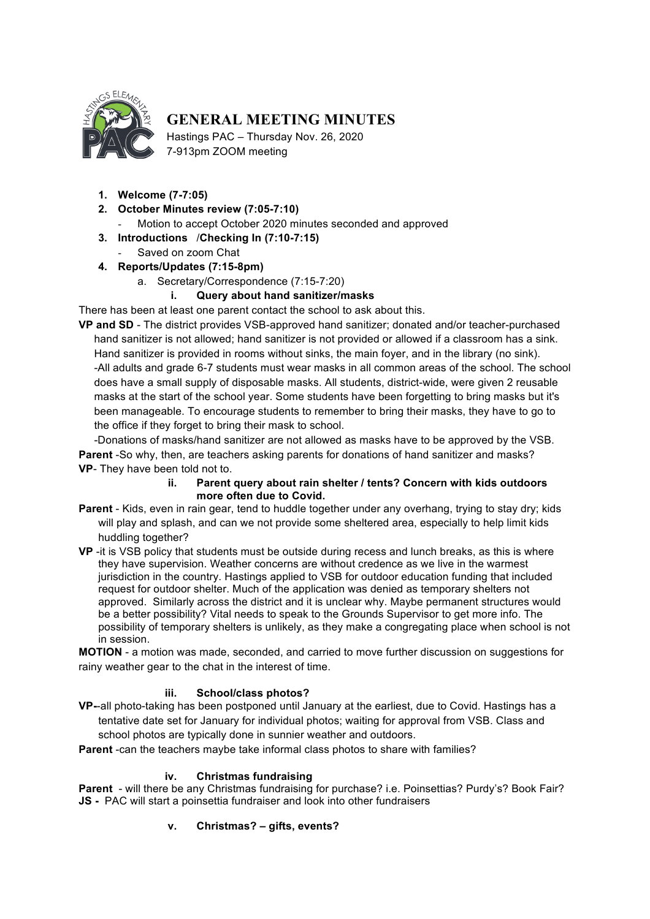

# **GENERAL MEETING MINUTES**

Hastings PAC – Thursday Nov. 26, 2020 7-913pm ZOOM meeting

- **1. Welcome (7-7:05)**
- **2. October Minutes review (7:05-7:10)**

Motion to accept October 2020 minutes seconded and approved

- **3. Introductions** /**Checking In (7:10-7:15)**
	- Saved on zoom Chat
- **4. Reports/Updates (7:15-8pm)**
	- a. Secretary/Correspondence (7:15-7:20)

#### **i. Query about hand sanitizer/masks**

There has been at least one parent contact the school to ask about this.

**VP and SD** - The district provides VSB-approved hand sanitizer; donated and/or teacher-purchased hand sanitizer is not allowed; hand sanitizer is not provided or allowed if a classroom has a sink. Hand sanitizer is provided in rooms without sinks, the main foyer, and in the library (no sink). -All adults and grade 6-7 students must wear masks in all common areas of the school. The school does have a small supply of disposable masks. All students, district-wide, were given 2 reusable masks at the start of the school year. Some students have been forgetting to bring masks but it's been manageable. To encourage students to remember to bring their masks, they have to go to the office if they forget to bring their mask to school.

-Donations of masks/hand sanitizer are not allowed as masks have to be approved by the VSB. **Parent** -So why, then, are teachers asking parents for donations of hand sanitizer and masks? **VP**- They have been told not to.

#### **ii. Parent query about rain shelter / tents? Concern with kids outdoors more often due to Covid.**

- **Parent** Kids, even in rain gear, tend to huddle together under any overhang, trying to stay dry; kids will play and splash, and can we not provide some sheltered area, especially to help limit kids huddling together?
- **VP** -it is VSB policy that students must be outside during recess and lunch breaks, as this is where they have supervision. Weather concerns are without credence as we live in the warmest jurisdiction in the country. Hastings applied to VSB for outdoor education funding that included request for outdoor shelter. Much of the application was denied as temporary shelters not approved. Similarly across the district and it is unclear why. Maybe permanent structures would be a better possibility? Vital needs to speak to the Grounds Supervisor to get more info. The possibility of temporary shelters is unlikely, as they make a congregating place when school is not in session.

**MOTION** - a motion was made, seconded, and carried to move further discussion on suggestions for rainy weather gear to the chat in the interest of time.

# **iii. School/class photos?**

**VP-**-all photo-taking has been postponed until January at the earliest, due to Covid. Hastings has a tentative date set for January for individual photos; waiting for approval from VSB. Class and school photos are typically done in sunnier weather and outdoors.

**Parent** -can the teachers maybe take informal class photos to share with families?

#### **iv. Christmas fundraising**

**Parent** - will there be any Christmas fundraising for purchase? i.e. Poinsettias? Purdy's? Book Fair? **JS -** PAC will start a poinsettia fundraiser and look into other fundraisers

# **v. Christmas? – gifts, events?**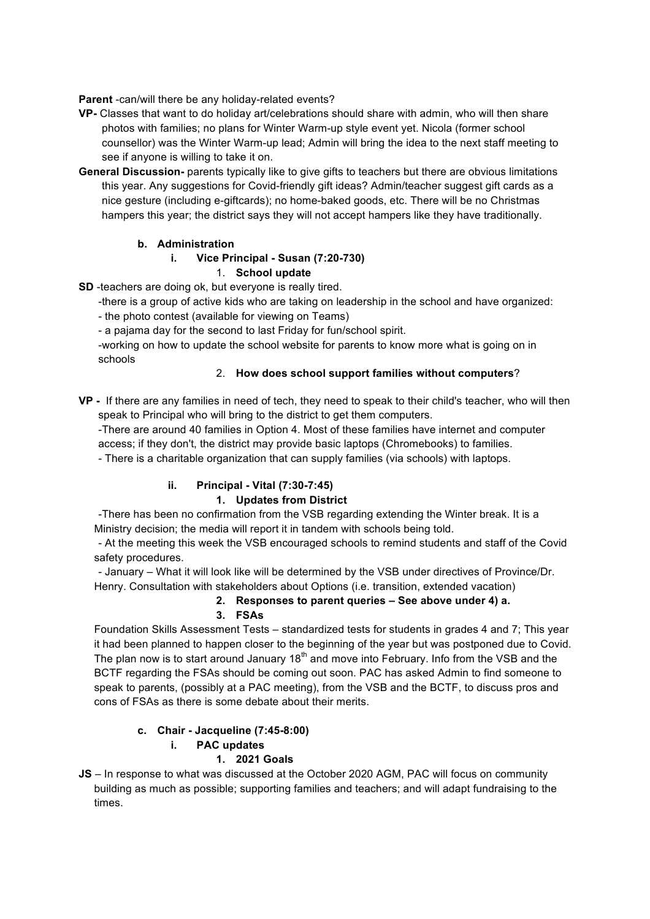**Parent** -can/will there be any holiday-related events?

- **VP-** Classes that want to do holiday art/celebrations should share with admin, who will then share photos with families; no plans for Winter Warm-up style event yet. Nicola (former school counsellor) was the Winter Warm-up lead; Admin will bring the idea to the next staff meeting to see if anyone is willing to take it on.
- **General Discussion-** parents typically like to give gifts to teachers but there are obvious limitations this year. Any suggestions for Covid-friendly gift ideas? Admin/teacher suggest gift cards as a nice gesture (including e-giftcards); no home-baked goods, etc. There will be no Christmas hampers this year; the district says they will not accept hampers like they have traditionally.

#### **b. Administration**

#### **i. Vice Principal - Susan (7:20-730)**

#### 1. **School update**

**SD** -teachers are doing ok, but everyone is really tired.

-there is a group of active kids who are taking on leadership in the school and have organized:

- the photo contest (available for viewing on Teams)

- a pajama day for the second to last Friday for fun/school spirit.

-working on how to update the school website for parents to know more what is going on in schools

#### 2. **How does school support families without computers**?

**VP -** If there are any families in need of tech, they need to speak to their child's teacher, who will then speak to Principal who will bring to the district to get them computers.

-There are around 40 families in Option 4. Most of these families have internet and computer access; if they don't, the district may provide basic laptops (Chromebooks) to families.

- There is a charitable organization that can supply families (via schools) with laptops.

# **ii. Principal - Vital (7:30-7:45)**

# **1. Updates from District**

-There has been no confirmation from the VSB regarding extending the Winter break. It is a Ministry decision; the media will report it in tandem with schools being told.

- At the meeting this week the VSB encouraged schools to remind students and staff of the Covid safety procedures.

- January – What it will look like will be determined by the VSB under directives of Province/Dr. Henry. Consultation with stakeholders about Options (i.e. transition, extended vacation)

# **2. Responses to parent queries – See above under 4) a.**

# **3. FSAs**

Foundation Skills Assessment Tests – standardized tests for students in grades 4 and 7; This year it had been planned to happen closer to the beginning of the year but was postponed due to Covid. The plan now is to start around January  $18<sup>th</sup>$  and move into February. Info from the VSB and the BCTF regarding the FSAs should be coming out soon. PAC has asked Admin to find someone to speak to parents, (possibly at a PAC meeting), from the VSB and the BCTF, to discuss pros and cons of FSAs as there is some debate about their merits.

# **c. Chair - Jacqueline (7:45-8:00)**

# **i. PAC updates**

# **1. 2021 Goals**

**JS** – In response to what was discussed at the October 2020 AGM, PAC will focus on community building as much as possible; supporting families and teachers; and will adapt fundraising to the times.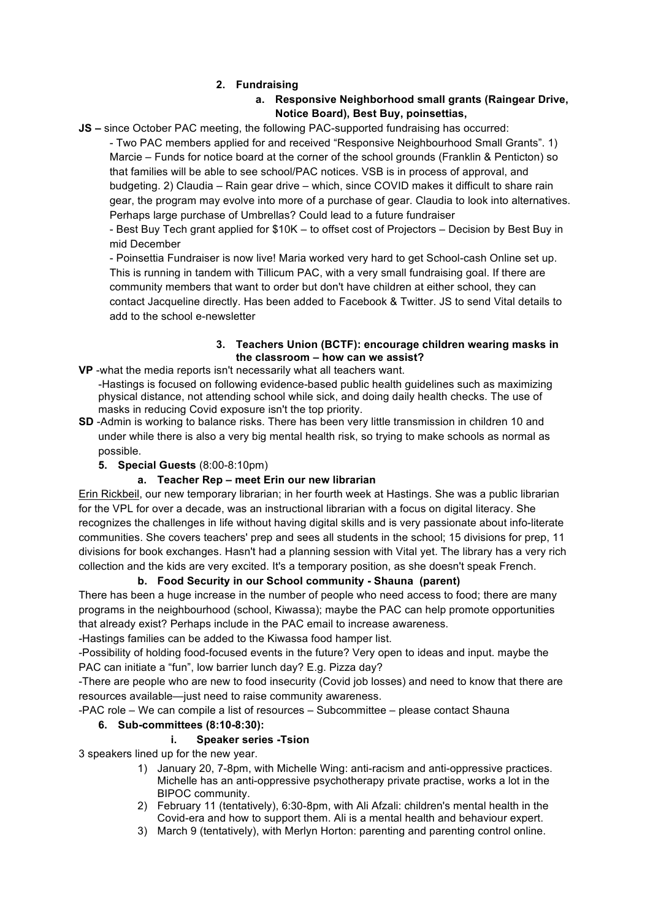#### **2. Fundraising**

# **a. Responsive Neighborhood small grants (Raingear Drive, Notice Board), Best Buy, poinsettias,**

**JS –** since October PAC meeting, the following PAC-supported fundraising has occurred:

- Two PAC members applied for and received "Responsive Neighbourhood Small Grants". 1) Marcie – Funds for notice board at the corner of the school grounds (Franklin & Penticton) so that families will be able to see school/PAC notices. VSB is in process of approval, and budgeting. 2) Claudia – Rain gear drive – which, since COVID makes it difficult to share rain gear, the program may evolve into more of a purchase of gear. Claudia to look into alternatives. Perhaps large purchase of Umbrellas? Could lead to a future fundraiser

- Best Buy Tech grant applied for \$10K – to offset cost of Projectors – Decision by Best Buy in mid December

- Poinsettia Fundraiser is now live! Maria worked very hard to get School-cash Online set up. This is running in tandem with Tillicum PAC, with a very small fundraising goal. If there are community members that want to order but don't have children at either school, they can contact Jacqueline directly. Has been added to Facebook & Twitter. JS to send Vital details to add to the school e-newsletter

#### **3. Teachers Union (BCTF): encourage children wearing masks in the classroom – how can we assist?**

- **VP** -what the media reports isn't necessarily what all teachers want. -Hastings is focused on following evidence-based public health guidelines such as maximizing physical distance, not attending school while sick, and doing daily health checks. The use of masks in reducing Covid exposure isn't the top priority.
- **SD** -Admin is working to balance risks. There has been very little transmission in children 10 and under while there is also a very big mental health risk, so trying to make schools as normal as possible.
	- **5. Special Guests** (8:00-8:10pm)

# **a. Teacher Rep – meet Erin our new librarian**

Erin Rickbeil, our new temporary librarian; in her fourth week at Hastings. She was a public librarian for the VPL for over a decade, was an instructional librarian with a focus on digital literacy. She recognizes the challenges in life without having digital skills and is very passionate about info-literate communities. She covers teachers' prep and sees all students in the school; 15 divisions for prep, 11 divisions for book exchanges. Hasn't had a planning session with Vital yet. The library has a very rich collection and the kids are very excited. It's a temporary position, as she doesn't speak French.

# **b. Food Security in our School community - Shauna (parent)**

There has been a huge increase in the number of people who need access to food; there are many programs in the neighbourhood (school, Kiwassa); maybe the PAC can help promote opportunities that already exist? Perhaps include in the PAC email to increase awareness.

-Hastings families can be added to the Kiwassa food hamper list.

-Possibility of holding food-focused events in the future? Very open to ideas and input. maybe the PAC can initiate a "fun", low barrier lunch day? E.g. Pizza day?

-There are people who are new to food insecurity (Covid job losses) and need to know that there are resources available—just need to raise community awareness.

-PAC role – We can compile a list of resources – Subcommittee – please contact Shauna

# **6. Sub-committees (8:10-8:30):**

# **i. Speaker series -Tsion**

3 speakers lined up for the new year.

- 1) January 20, 7-8pm, with Michelle Wing: anti-racism and anti-oppressive practices. Michelle has an anti-oppressive psychotherapy private practise, works a lot in the BIPOC community.
- 2) February 11 (tentatively), 6:30-8pm, with Ali Afzali: children's mental health in the Covid-era and how to support them. Ali is a mental health and behaviour expert.
- 3) March 9 (tentatively), with Merlyn Horton: parenting and parenting control online.